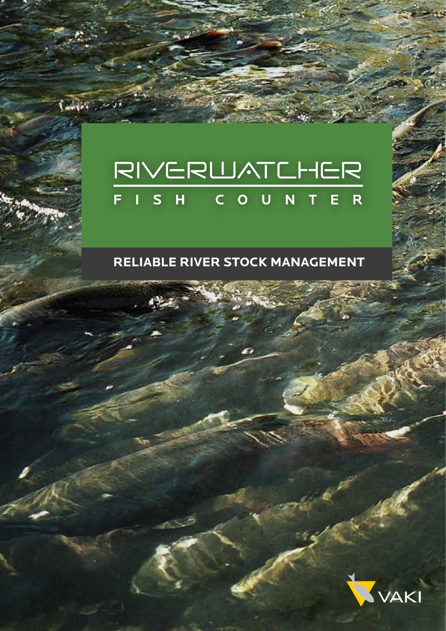# RIVERWATCHER FISH COUNTER

 $26 - 1000 + 100$ 

#### **RELIABLE RIVER STOCK MANAGEMENT**

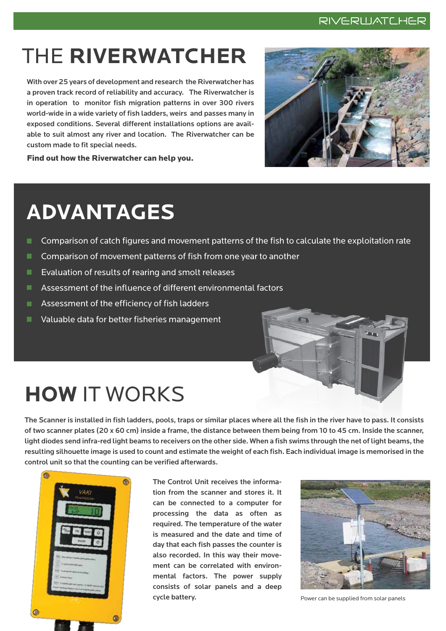#### RIVERWATCHER

## THE **RIVERWATCHER**

With over 25 years of development and research the Riverwatcher has a proven track record of reliability and accuracy. The Riverwatcher is in operation to monitor fish migration patterns in over 300 rivers world-wide in a wide variety of fish ladders, weirs and passes many in exposed conditions. Several different installations options are available to suit almost any river and location. The Riverwatcher can be custom made to fit special needs.



Find out how the Riverwatcher can help you.

## **ADVANTAGES**

- ш Comparison of catch figures and movement patterns of the fish to calculate the exploitation rate
- . Comparison of movement patterns of fish from one year to another
- **EXALUBIOUS EVALUATION** Of rearting and smolt releases
- **Assessment of the influence of different environmental factors**
- **Assessment of the efficiency of fish ladders**
- **Notable data for better fisheries management**



The Scanner is installed in fish ladders, pools, traps or similar places where all the fish in the river have to pass. It consists of two scanner plates (20 x 60 cm) inside a frame, the distance between them being from 10 to 45 cm. Inside the scanner, light diodes send infra-red light beams to receivers on the other side. When a fish swims through the net of light beams, the resulting silhouette image is used to count and estimate the weight of each fish. Each individual image is memorised in the control unit so that the counting can be verified afterwards.



The Control Unit receives the information from the scanner and stores it. It can be connected to a computer for processing the data as often as required. The temperature of the water is measured and the date and time of day that each fish passes the counter is also recorded. In this way their movement can be correlated with environmental factors. The power supply consists of solar panels and a deep cycle battery. The state of the state of the state of Power can be supplied from solar panels

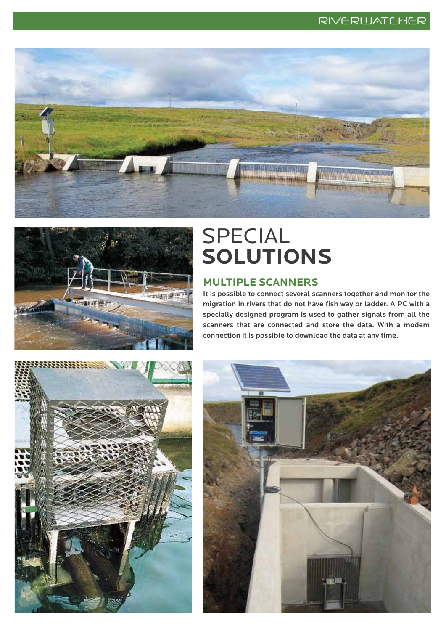



### SPECIAL **SOLUTIONS**

#### **MULTIPLE SCANNERS**

It is possible to connect several scanners together and monitor the migration in rivers that do not have fish way or ladder. A PC with a specially designed program is used to gather signals from all the scanners that are connected and store the data. With a modem connection it is possible to download the data at any time.



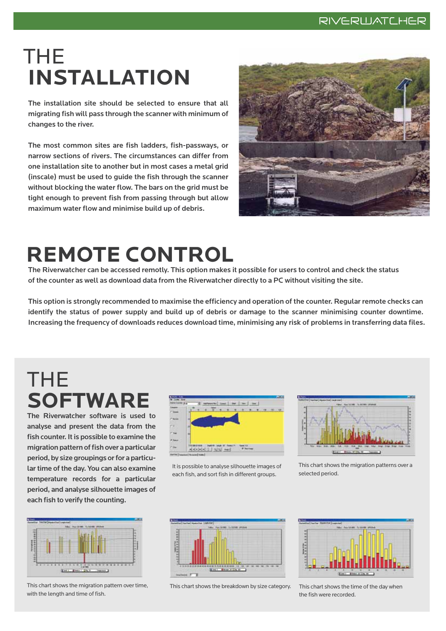### THE **INSTALLATION**

The installation site should be selected to ensure that all migrating fish will pass through the scanner with minimum of changes to the river.

The most common sites are fish ladders, fish-passways, or narrow sections of rivers. The circumstances can differ from one installation site to another but in most cases a metal grid (inscale) must be used to guide the fish through the scanner without blocking the water flow. The bars on the grid must be tight enough to prevent fish from passing through but allow maximum water flow and minimise build up of debris.



# **REMOTE CONTROL**

The Riverwatcher can be accessed remotly. This option makes it possible for users to control and check the status of the counter as well as download data from the Riverwatcher directly to a PC without visiting the site.

This option is strongly recommended to maximise the efficiency and operation of the counter. Regular remote checks can identify the status of power supply and build up of debris or damage to the scanner minimising counter downtime. Increasing the frequency of downloads reduces download time, minimising any risk of problems in transferring data files.

### THE **SOFTWARE**

The Riverwatcher software is used to analyse and present the data from the fish counter. It is possible to examine the migration pattern of fish over a particular period, by size groupings or for a particular time of the day. You can also examine temperature records for a particular period, and analyse silhouette images of each fish to verify the counting.



This chart shows the migration pattern over time, with the length and time of fish.



It is possible to analyse silhouette images of each fish, and sort fish in different groups.

| ٠<br><b>The Second Contract</b><br>٠<br>٠<br>٠<br>٠ | ٠<br>٠ |
|-----------------------------------------------------|--------|
|                                                     |        |

This chart shows the migration patterns over a selected period.



This chart shows the breakdown by size category. This chart shows the time of the day when



the fish were recorded.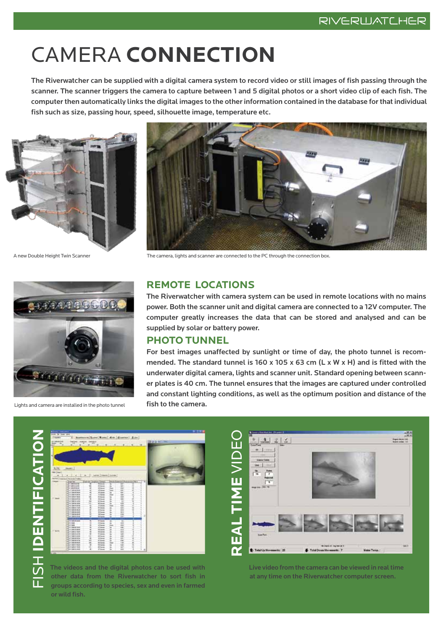# CAMERA **CONNECTION**

The Riverwatcher can be supplied with a digital camera system to record video or still images of fish passing through the scanner. The scanner triggers the camera to capture between 1 and 5 digital photos or a short video clip of each fish. The computer then automatically links the digital images to the other information contained in the database for that individual fish such as size, passing hour, speed, silhouette image, temperature etc.



![](_page_4_Picture_5.jpeg)

Lights and camera are installed in the photo tunnel **fish to the camera.** 

![](_page_4_Picture_7.jpeg)

A new Double Height Twin Scanner The camera, lights and scanner are connected to the PC through the connection box.

#### **REMOTE LOCATIONS**

The Riverwatcher with camera system can be used in remote locations with no mains power. Both the scanner unit and digital camera are connected to a 12V computer. The computer greatly increases the data that can be stored and analysed and can be supplied by solar or battery power.

#### **PHOTO TUNNEL**

For best images unaffected by sunlight or time of day, the photo tunnel is recommended. The standard tunnel is 160 x 105 x 63 cm (L x W x H) and is fitted with the underwater digital camera, lights and scanner unit. Standard opening between scanner plates is 40 cm. The tunnel ensures that the images are captured under controlled and constant lighting conditions, as well as the optimum position and distance of the

**SHIDENTIFICAT** FISH **IDENTIFICATION**

![](_page_4_Picture_14.jpeg)

The videos and the digital photos can be used with other data from the Riverwatcher to sort fish in groups according to species, sex and even in farmed or wild fish.

**REAL TIME** VIDEO $2 |z|$ The digital photos can then be used with other data from the Riverwatcher to sort sh in groups accord-凸 Live video from the camera can be viewed in real time at any time on the Riverwatcher computer screen. + Total Up Novements: 25 F Tund Down Mary

> Live video from the camera can be viewed in real time at any time on the Riverwatcher computer screen.